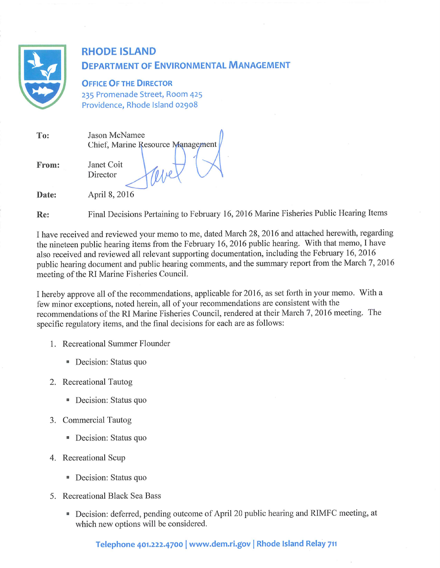

# **RHODE ISLAND DEPARTMENT OF ENVIRONMENTAL MANAGEMENT**

**OFFICE OF THE DIRECTOR** 235 Promenade Street, Room 425 Providence, Rhode Island 02908

| To:   | Jason McNamee<br>Chief, Marine Resource Management |  |  |
|-------|----------------------------------------------------|--|--|
| From: | Janet Coit<br>Director                             |  |  |
| Date: | April 8, 2016                                      |  |  |

Final Decisions Pertaining to February 16, 2016 Marine Fisheries Public Hearing Items  $Re:$ 

I have received and reviewed your memo to me, dated March 28, 2016 and attached herewith, regarding the nineteen public hearing items from the February 16, 2016 public hearing. With that memo, I have also received and reviewed all relevant supporting documentation, including the February 16, 2016 public hearing document and public hearing comments, and the summary report from the March 7, 2016 meeting of the RI Marine Fisheries Council.

I hereby approve all of the recommendations, applicable for 2016, as set forth in your memo. With a few minor exceptions, noted herein, all of your recommendations are consistent with the recommendations of the RI Marine Fisheries Council, rendered at their March 7, 2016 meeting. The specific regulatory items, and the final decisions for each are as follows:

- 1. Recreational Summer Flounder
	- Decision: Status quo
- 2. Recreational Tautog
	- Decision: Status quo
- 3. Commercial Tautog
	- Decision: Status quo
- 4. Recreational Scup
	- Decision: Status quo
- 5. Recreational Black Sea Bass
	- Decision: deferred, pending outcome of April 20 public hearing and RIMFC meeting, at which new options will be considered.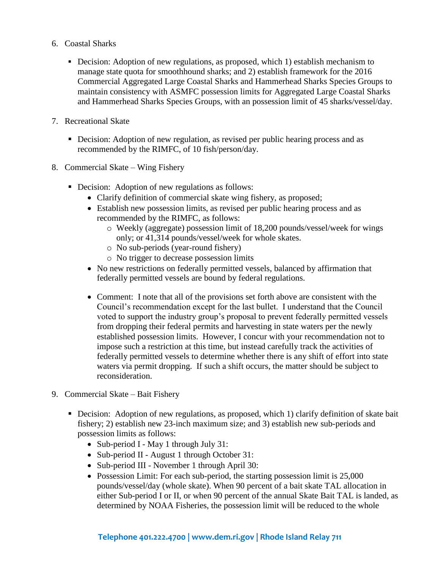- 6. Coastal Sharks
	- Decision: Adoption of new regulations, as proposed, which 1) establish mechanism to manage state quota for smoothhound sharks; and 2) establish framework for the 2016 Commercial Aggregated Large Coastal Sharks and Hammerhead Sharks Species Groups to maintain consistency with ASMFC possession limits for Aggregated Large Coastal Sharks and Hammerhead Sharks Species Groups, with an possession limit of 45 sharks/vessel/day.
- 7. Recreational Skate
	- Decision: Adoption of new regulation, as revised per public hearing process and as recommended by the RIMFC, of 10 fish/person/day.
- 8. Commercial Skate Wing Fishery
	- Decision: Adoption of new regulations as follows:
		- Clarify definition of commercial skate wing fishery, as proposed;
		- Establish new possession limits, as revised per public hearing process and as recommended by the RIMFC, as follows:
			- o Weekly (aggregate) possession limit of 18,200 pounds/vessel/week for wings only; or 41,314 pounds/vessel/week for whole skates.
			- o No sub-periods (year-round fishery)
			- o No trigger to decrease possession limits
		- No new restrictions on federally permitted vessels, balanced by affirmation that federally permitted vessels are bound by federal regulations.
		- Comment: I note that all of the provisions set forth above are consistent with the Council's recommendation except for the last bullet. I understand that the Council voted to support the industry group's proposal to prevent federally permitted vessels from dropping their federal permits and harvesting in state waters per the newly established possession limits. However, I concur with your recommendation not to impose such a restriction at this time, but instead carefully track the activities of federally permitted vessels to determine whether there is any shift of effort into state waters via permit dropping. If such a shift occurs, the matter should be subject to reconsideration.
- 9. Commercial Skate Bait Fishery
	- Decision: Adoption of new regulations, as proposed, which 1) clarify definition of skate bait fishery; 2) establish new 23-inch maximum size; and 3) establish new sub-periods and possession limits as follows:
		- Sub-period I May 1 through July 31:
		- Sub-period II August 1 through October 31:
		- Sub-period III November 1 through April 30:
		- Possession Limit: For each sub-period, the starting possession limit is 25,000 pounds/vessel/day (whole skate). When 90 percent of a bait skate TAL allocation in either Sub-period I or II, or when 90 percent of the annual Skate Bait TAL is landed, as determined by NOAA Fisheries, the possession limit will be reduced to the whole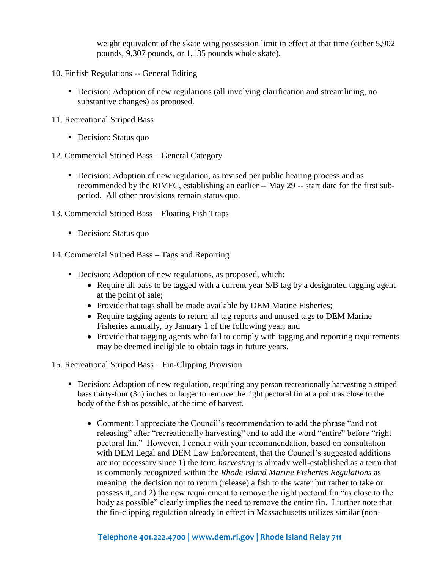weight equivalent of the skate wing possession limit in effect at that time (either 5,902 pounds, 9,307 pounds, or 1,135 pounds whole skate).

- 10. Finfish Regulations -- General Editing
	- Decision: Adoption of new regulations (all involving clarification and streamlining, no substantive changes) as proposed.
- 11. Recreational Striped Bass
	- Decision: Status quo
- 12. Commercial Striped Bass General Category
	- Decision: Adoption of new regulation, as revised per public hearing process and as recommended by the RIMFC, establishing an earlier -- May 29 -- start date for the first subperiod. All other provisions remain status quo.
- 13. Commercial Striped Bass Floating Fish Traps
	- Decision: Status quo
- 14. Commercial Striped Bass Tags and Reporting
	- Decision: Adoption of new regulations, as proposed, which:
		- Require all bass to be tagged with a current year S/B tag by a designated tagging agent at the point of sale;
		- Provide that tags shall be made available by DEM Marine Fisheries;
		- Require tagging agents to return all tag reports and unused tags to DEM Marine Fisheries annually, by January 1 of the following year; and
		- Provide that tagging agents who fail to comply with tagging and reporting requirements may be deemed ineligible to obtain tags in future years.
- 15. Recreational Striped Bass Fin-Clipping Provision
	- Decision: Adoption of new regulation, requiring any person recreationally harvesting a striped bass thirty-four (34) inches or larger to remove the right pectoral fin at a point as close to the body of the fish as possible, at the time of harvest.
		- Comment: I appreciate the Council's recommendation to add the phrase "and not releasing" after "recreationally harvesting" and to add the word "entire" before "right pectoral fin." However, I concur with your recommendation, based on consultation with DEM Legal and DEM Law Enforcement, that the Council's suggested additions are not necessary since 1) the term *harvesting* is already well-established as a term that is commonly recognized within the *Rhode Island Marine Fisheries Regulations* as meaning the decision not to return (release) a fish to the water but rather to take or possess it, and 2) the new requirement to remove the right pectoral fin "as close to the body as possible" clearly implies the need to remove the entire fin. I further note that the fin-clipping regulation already in effect in Massachusetts utilizes similar (non-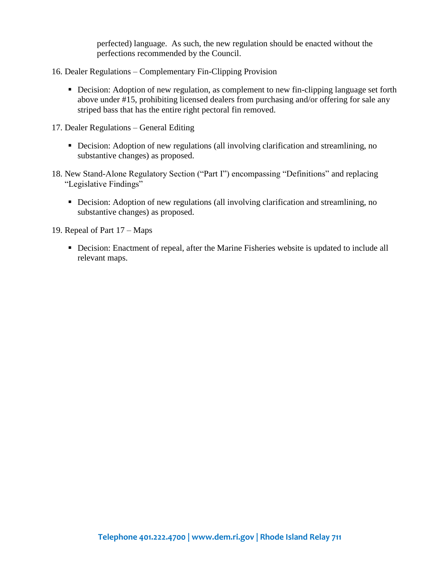perfected) language. As such, the new regulation should be enacted without the perfections recommended by the Council.

- 16. Dealer Regulations Complementary Fin-Clipping Provision
	- Decision: Adoption of new regulation, as complement to new fin-clipping language set forth above under #15, prohibiting licensed dealers from purchasing and/or offering for sale any striped bass that has the entire right pectoral fin removed.
- 17. Dealer Regulations General Editing
	- Decision: Adoption of new regulations (all involving clarification and streamlining, no substantive changes) as proposed.
- 18. New Stand-Alone Regulatory Section ("Part I") encompassing "Definitions" and replacing "Legislative Findings"
	- Decision: Adoption of new regulations (all involving clarification and streamlining, no substantive changes) as proposed.

19. Repeal of Part 17 – Maps

 Decision: Enactment of repeal, after the Marine Fisheries website is updated to include all relevant maps.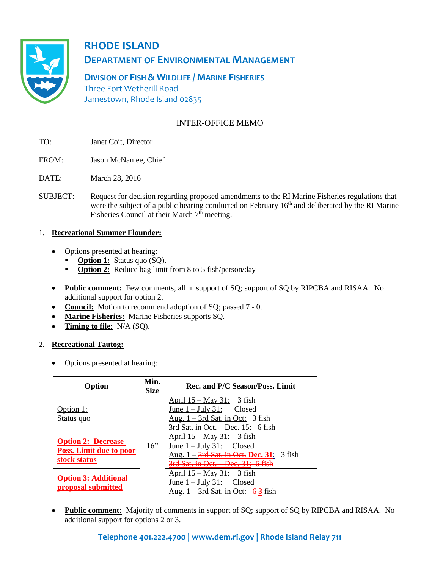

# **RHODE ISLAND**

# **DEPARTMENT OF ENVIRONMENTAL MANAGEMENT**

**DIVISION OF FISH & WILDLIFE / MARINE FISHERIES** Three Fort Wetherill Road Jamestown, Rhode Island 02835

# INTER-OFFICE MEMO

- TO: Janet Coit, Director
- FROM: Jason McNamee, Chief
- DATE: March 28, 2016
- SUBJECT: Request for decision regarding proposed amendments to the RI Marine Fisheries regulations that were the subject of a public hearing conducted on February 16<sup>th</sup> and deliberated by the RI Marine Fisheries Council at their March  $7<sup>th</sup>$  meeting.

## 1. **Recreational Summer Flounder:**

- Options presented at hearing:
	- **Option 1:** Status quo (SQ).
	- **Option 2:** Reduce bag limit from 8 to 5 fish/person/day
- **Public comment:** Few comments, all in support of SQ; support of SQ by RIPCBA and RISAA. No additional support for option 2.
- **Council:** Motion to recommend adoption of SQ; passed 7 0.
- **Marine Fisheries:** Marine Fisheries supports SQ.
- **Timing to file:** N/A (SQ).

#### 2. **Recreational Tautog:**

• Options presented at hearing:

| Option                                                                      | Min.<br><b>Size</b> | Rec. and P/C Season/Poss. Limit                                                                                                          |  |  |
|-----------------------------------------------------------------------------|---------------------|------------------------------------------------------------------------------------------------------------------------------------------|--|--|
| Option 1:<br>Status quo                                                     |                     | April $15 - May 31$ : 3 fish<br>June $1 -$ July 31: Closed<br>Aug. $1 - 3rd$ Sat. in Oct: 3 fish<br>3rd Sat. in Oct. $-$ Dec. 15: 6 fish |  |  |
| <b>Option 2: Decrease</b><br><b>Poss. Limit due to poor</b><br>stock status | 16"                 | April $15 - May 31$ : 3 fish<br>June $1 -$ July 31: Closed<br>Aug. 1 – 3rd Sat. in Oet. Dec. 31: 3 fish<br>$Doe$ $31.6$ fich             |  |  |
| <b>Option 3: Additional</b><br>proposal submitted                           |                     | <u>April 15 – May 31:</u> 3 fish<br>June $1 -$ July 31: Closed<br>Aug. $1 - 3$ rd Sat. in Oct: 63 fish                                   |  |  |

• Public comment: Majority of comments in support of SQ; support of SQ by RIPCBA and RISAA. No additional support for options 2 or 3.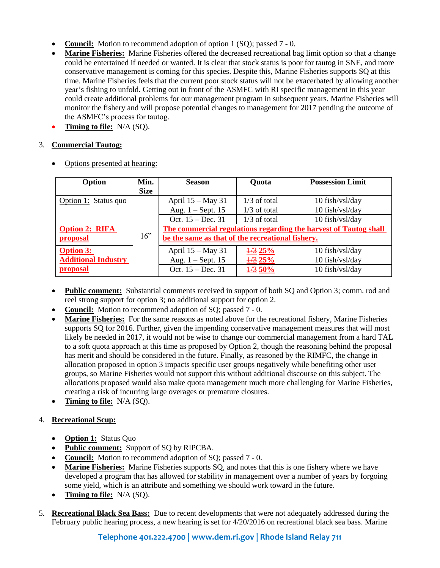- **Council:** Motion to recommend adoption of option 1 (SQ); passed 7 0.
- **Marine Fisheries:** Marine Fisheries offered the decreased recreational bag limit option so that a change could be entertained if needed or wanted. It is clear that stock status is poor for tautog in SNE, and more conservative management is coming for this species. Despite this, Marine Fisheries supports SQ at this time. Marine Fisheries feels that the current poor stock status will not be exacerbated by allowing another year's fishing to unfold. Getting out in front of the ASMFC with RI specific management in this year could create additional problems for our management program in subsequent years. Marine Fisheries will monitor the fishery and will propose potential changes to management for 2017 pending the outcome of the ASMFC's process for tautog.
- **Timing to file:** N/A (SQ).

# 3. **Commercial Tautog:**

| Option                     | Min.        | <b>Season</b>                                                    | Quota             | <b>Possession Limit</b> |
|----------------------------|-------------|------------------------------------------------------------------|-------------------|-------------------------|
|                            | <b>Size</b> |                                                                  |                   |                         |
| Option 1: Status quo       |             | April 15 – May 31                                                | $1/3$ of total    | 10 fish/vsl/day         |
|                            |             | Aug. $1 -$ Sept. 15                                              | $1/3$ of total    | 10 fish/vsl/day         |
|                            |             | Oct. 15 – Dec. 31                                                | $1/3$ of total    | 10 fish/vsl/day         |
| <b>Option 2: RIFA</b>      |             | The commercial regulations regarding the harvest of Tautog shall |                   |                         |
| proposal                   | 16"         | be the same as that of the recreational fishery.                 |                   |                         |
| <b>Option 3:</b>           |             | April 15 – May 31                                                | $\frac{1}{3}$ 25% | $10$ fish/vsl/day       |
| <b>Additional Industry</b> |             | Aug. $1 -$ Sept. 15                                              | $\frac{1}{3}$ 25% | 10 fish/vsl/day         |
| proposal                   |             | Oct. $15 - Dec. 31$                                              | $\frac{1}{3}$ 50% | 10 fish/vsl/day         |

• Options presented at hearing:

- **Public comment:** Substantial comments received in support of both SQ and Option 3; comm. rod and reel strong support for option 3; no additional support for option 2.
- **Council:** Motion to recommend adoption of SO; passed 7 0.
- **Marine Fisheries:** For the same reasons as noted above for the recreational fishery, Marine Fisheries supports SQ for 2016. Further, given the impending conservative management measures that will most likely be needed in 2017, it would not be wise to change our commercial management from a hard TAL to a soft quota approach at this time as proposed by Option 2, though the reasoning behind the proposal has merit and should be considered in the future. Finally, as reasoned by the RIMFC, the change in allocation proposed in option 3 impacts specific user groups negatively while benefiting other user groups, so Marine Fisheries would not support this without additional discourse on this subject. The allocations proposed would also make quota management much more challenging for Marine Fisheries, creating a risk of incurring large overages or premature closures.
- **Timing to file:** N/A (SQ).

# 4. **Recreational Scup:**

- **Option 1:** Status Quo
- **Public comment:** Support of SQ by RIPCBA.
- **Council:** Motion to recommend adoption of SQ; passed 7 0.
- **Marine Fisheries:** Marine Fisheries supports SQ, and notes that this is one fishery where we have developed a program that has allowed for stability in management over a number of years by forgoing some yield, which is an attribute and something we should work toward in the future.
- **Timing to file:** N/A (SQ).
- 5. **Recreational Black Sea Bass:** Due to recent developments that were not adequately addressed during the February public hearing process, a new hearing is set for 4/20/2016 on recreational black sea bass. Marine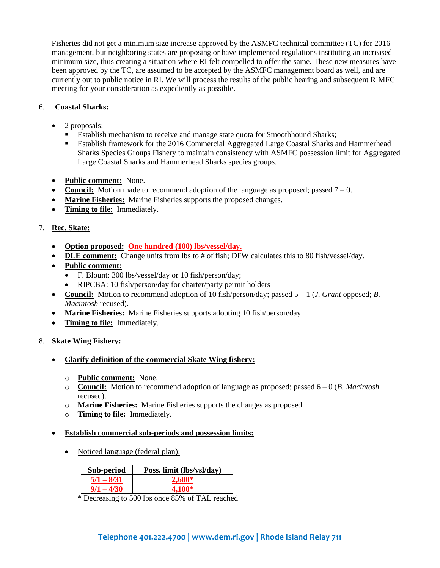Fisheries did not get a minimum size increase approved by the ASMFC technical committee (TC) for 2016 management, but neighboring states are proposing or have implemented regulations instituting an increased minimum size, thus creating a situation where RI felt compelled to offer the same. These new measures have been approved by the TC, are assumed to be accepted by the ASMFC management board as well, and are currently out to public notice in RI. We will process the results of the public hearing and subsequent RIMFC meeting for your consideration as expediently as possible.

## 6. **Coastal Sharks:**

- 2 proposals:
	- Establish mechanism to receive and manage state quota for Smoothhound Sharks;
	- Establish framework for the 2016 Commercial Aggregated Large Coastal Sharks and Hammerhead Sharks Species Groups Fishery to maintain consistency with ASMFC possession limit for Aggregated Large Coastal Sharks and Hammerhead Sharks species groups.
- **Public comment:** None.
- **Council:** Motion made to recommend adoption of the language as proposed; passed  $7 0$ .
- **Marine Fisheries:** Marine Fisheries supports the proposed changes.
- **Timing to file:** Immediately.

## 7. **Rec. Skate:**

- **Option proposed: One hundred (100) lbs/vessel/day.**
- **DLE comment:** Change units from lbs to # of fish; DFW calculates this to 80 fish/vessel/day.
- **Public comment:**
	- F. Blount: 300 lbs/vessel/day or 10 fish/person/day;
	- RIPCBA: 10 fish/person/day for charter/party permit holders
- **Council:** Motion to recommend adoption of 10 fish/person/day; passed 5 1 (*J. Grant* opposed; *B. Macintosh* recused).
- **Marine Fisheries:** Marine Fisheries supports adopting 10 fish/person/day.
- **Timing to file:** Immediately.
- 8. **Skate Wing Fishery:**
	- **Clarify definition of the commercial Skate Wing fishery:**
		- o **Public comment:** None.
		- o **Council:** Motion to recommend adoption of language as proposed; passed 6 0 (*B. Macintosh* recused).
		- o **Marine Fisheries:** Marine Fisheries supports the changes as proposed.
		- o **Timing to file:** Immediately.
	- **Establish commercial sub-periods and possession limits:**
		- Noticed language (federal plan):

| Sub-period   | Poss. limit (lbs/vsl/day) |
|--------------|---------------------------|
| $5/1 - 8/31$ | $2.600*$                  |
|              | 4.100*                    |

\* Decreasing to 500 lbs once 85% of TAL reached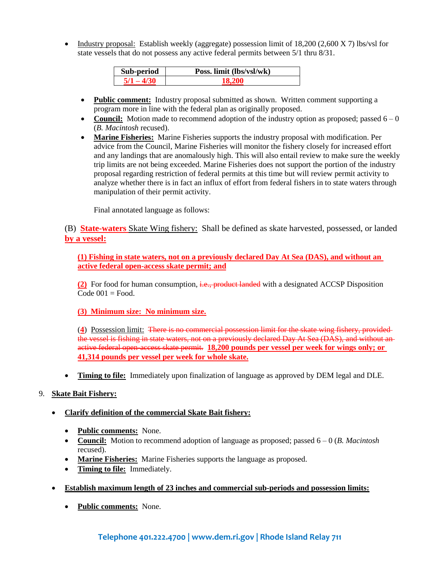• Industry proposal: Establish weekly (aggregate) possession limit of  $18,200$  (2,600 X 7) lbs/vsl for state vessels that do not possess any active federal permits between 5/1 thru 8/31.

| Sub-period | Poss. limit (lbs/vsl/wk) |
|------------|--------------------------|
|            |                          |

- **Public comment:** Industry proposal submitted as shown. Written comment supporting a program more in line with the federal plan as originally proposed.
- **Council:** Motion made to recommend adoption of the industry option as proposed; passed  $6 0$ (*B. Macintosh* recused).
- **Marine Fisheries:** Marine Fisheries supports the industry proposal with modification. Per advice from the Council, Marine Fisheries will monitor the fishery closely for increased effort and any landings that are anomalously high. This will also entail review to make sure the weekly trip limits are not being exceeded. Marine Fisheries does not support the portion of the industry proposal regarding restriction of federal permits at this time but will review permit activity to analyze whether there is in fact an influx of effort from federal fishers in to state waters through manipulation of their permit activity.

Final annotated language as follows:

(B) **State-waters** Skate Wing fishery: Shall be defined as skate harvested, possessed, or landed **by a vessel:**

**(1) Fishing in state waters, not on a previously declared Day At Sea (DAS), and without an active federal open-access skate permit; and**

**(2)** For food for human consumption, i.e., product landed with a designated ACCSP Disposition Code  $001$  = Food.

**(3) Minimum size: No minimum size.**

(**4**) Possession limit: There is no commercial possession limit for the skate wing fishery, provided the vessel is fishing in state waters, not on a previously declared Day At Sea (DAS), and without anactive federal open-access skate permit. **18,200 pounds per vessel per week for wings only; or 41,314 pounds per vessel per week for whole skate.**

**Timing to file:** Immediately upon finalization of language as approved by DEM legal and DLE.

#### 9. **Skate Bait Fishery:**

#### **Clarify definition of the commercial Skate Bait fishery:**

- **Public comments:** None.
- **Council:** Motion to recommend adoption of language as proposed; passed 6 0 (*B. Macintosh* recused).
- **Marine Fisheries:** Marine Fisheries supports the language as proposed.
- **Timing to file:** Immediately.
- **Establish maximum length of 23 inches and commercial sub-periods and possession limits:**
	- **Public comments:** None.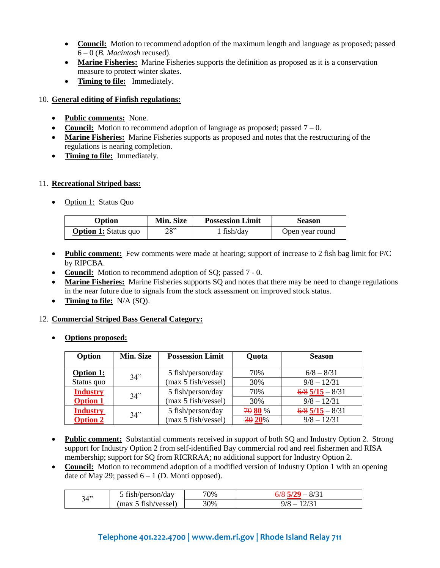- Council: Motion to recommend adoption of the maximum length and language as proposed; passed 6 – 0 (*B. Macintosh* recused).
- Marine Fisheries: Marine Fisheries supports the definition as proposed as it is a conservation measure to protect winter skates.
- **Timing to file:** Immediately.

#### 10. **General editing of Finfish regulations:**

- **Public comments:** None.
- **Council:** Motion to recommend adoption of language as proposed; passed  $7 0$ .
- **Marine Fisheries:** Marine Fisheries supports as proposed and notes that the restructuring of the regulations is nearing completion.
- **Timing to file:** Immediately.

#### 11. **Recreational Striped bass:**

• Option 1: Status Quo

| Option                      | <b>Min. Size</b> | <b>Possession Limit</b> | <b>Season</b>   |
|-----------------------------|------------------|-------------------------|-----------------|
| <b>Option 1:</b> Status quo | 28"              | $1$ fish/day            | Open year round |

- Public comment: Few comments were made at hearing; support of increase to 2 fish bag limit for P/C by RIPCBA.
- **Council:** Motion to recommend adoption of SQ; passed 7 0.
- Marine Fisheries: Marine Fisheries supports SQ and notes that there may be need to change regulations in the near future due to signals from the stock assessment on improved stock status.
- **Timing to file:** N/A (SQ).

#### 12. **Commercial Striped Bass General Category:**

**Options proposed:**

| Option           | Min. Size | <b>Possession Limit</b> | Quota   | <b>Season</b>     |
|------------------|-----------|-------------------------|---------|-------------------|
| <b>Option 1:</b> | 34"       | 5 fish/person/day       | 70%     | $6/8 - 8/31$      |
| Status quo       |           | (max 5 fish/vessel)     | 30%     | $9/8 - 12/31$     |
| <b>Industry</b>  | 34"       | 5 fish/person/day       | 70%     | $6/8$ 5/15 - 8/31 |
| <b>Option 1</b>  |           | (max 5 fish/vessel)     | 30%     | $9/8 - 12/31$     |
| <b>Industry</b>  | 34"       | 5 fish/person/day       | 70 80 % | $6/8$ 5/15 - 8/31 |
| <b>Option 2</b>  |           | (max 5 fishivesel)      | 30 20%  | $9/8 - 12/31$     |

- **Public comment:** Substantial comments received in support of both SO and Industry Option 2. Strong support for Industry Option 2 from self-identified Bay commercial rod and reel fishermen and RISA membership; support for SQ from RICRRAA; no additional support for Industry Option 2.
- Council: Motion to recommend adoption of a modified version of Industry Option 1 with an opening date of May 29; passed  $6 - 1$  (D. Monti opposed).

| 34" | 5 fish/person/day  | 70% | $6/8$ 5/29 $-$<br>8/31 |
|-----|--------------------|-----|------------------------|
|     | (max 5 fishivesel) | 30% |                        |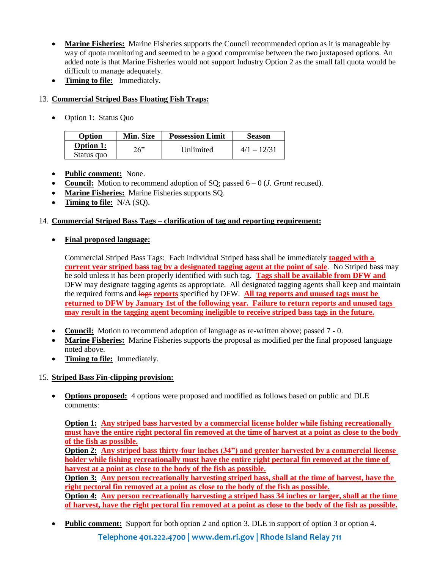- **Marine Fisheries:** Marine Fisheries supports the Council recommended option as it is manageable by way of quota monitoring and seemed to be a good compromise between the two juxtaposed options. An added note is that Marine Fisheries would not support Industry Option 2 as the small fall quota would be difficult to manage adequately.
- **Timing to file:** Immediately.

# 13. **Commercial Striped Bass Floating Fish Traps:**

• Option 1: Status Quo

| <b>Option</b>                  | <b>Min. Size</b> | <b>Possession Limit</b> | <b>Season</b> |
|--------------------------------|------------------|-------------------------|---------------|
| <b>Option 1:</b><br>Status quo | 26"              | Unlimited               | $4/1 - 12/31$ |

- **Public comment:** None.
- **Council:** Motion to recommend adoption of SQ; passed 6 0 (*J. Grant* recused).
- **Marine Fisheries:** Marine Fisheries supports SQ.
- **Timing to file:** N/A (SQ).

# 14. **Commercial Striped Bass Tags – clarification of tag and reporting requirement:**

# **Final proposed language:**

Commercial Striped Bass Tags: Each individual Striped bass shall be immediately **tagged with a current year striped bass tag by a designated tagging agent at the point of sale**. No Striped bass may be sold unless it has been properly identified with such tag. **Tags shall be available from DFW and** DFW may designate tagging agents as appropriate. All designated tagging agents shall keep and maintain the required forms and logs **reports** specified by DFW. **All tag reports and unused tags must be returned to DFW by January 1st of the following year. Failure to return reports and unused tags may result in the tagging agent becoming ineligible to receive striped bass tags in the future.**

- **Council:** Motion to recommend adoption of language as re-written above; passed 7 0.
- **Marine Fisheries:** Marine Fisheries supports the proposal as modified per the final proposed language noted above.
- **Timing to file:** Immediately.

# 15. **Striped Bass Fin-clipping provision:**

 **Options proposed:** 4 options were proposed and modified as follows based on public and DLE comments:

**Option 1: Any striped bass harvested by a commercial license holder while fishing recreationally must have the entire right pectoral fin removed at the time of harvest at a point as close to the body of the fish as possible.**

**Option 2: Any striped bass thirty-four inches (34") and greater harvested by a commercial license holder while fishing recreationally must have the entire right pectoral fin removed at the time of harvest at a point as close to the body of the fish as possible.**

**Option 3: Any person recreationally harvesting striped bass, shall at the time of harvest, have the right pectoral fin removed at a point as close to the body of the fish as possible.**

**Option 4: Any person recreationally harvesting a striped bass 34 inches or larger, shall at the time of harvest, have the right pectoral fin removed at a point as close to the body of the fish as possible.**

• **Public comment:** Support for both option 2 and option 3. DLE in support of option 3 or option 4.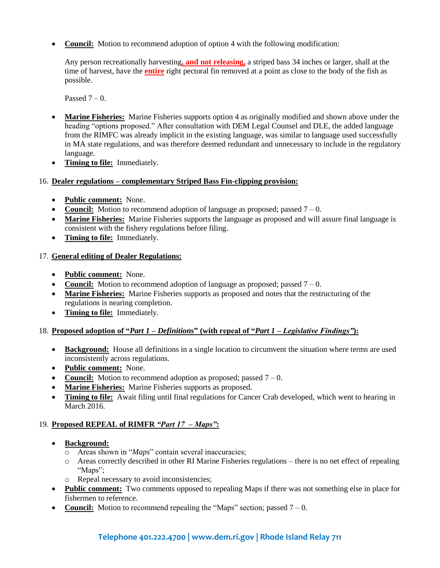• Council: Motion to recommend adoption of option 4 with the following modification:

Any person recreationally harvesting**, and not releasing,** a striped bass 34 inches or larger, shall at the time of harvest, have the **entire** right pectoral fin removed at a point as close to the body of the fish as possible.

Passed  $7 - 0$ .

- **Marine Fisheries:** Marine Fisheries supports option 4 as originally modified and shown above under the heading "options proposed." After consultation with DEM Legal Counsel and DLE, the added language from the RIMFC was already implicit in the existing language, was similar to language used successfully in MA state regulations, and was therefore deemed redundant and unnecessary to include in the regulatory language.
- **Timing to file:** Immediately.

#### 16. **Dealer regulations – complementary Striped Bass Fin-clipping provision:**

- **Public comment:** None.
- **Council:** Motion to recommend adoption of language as proposed; passed  $7 0$ .
- **Marine Fisheries:** Marine Fisheries supports the language as proposed and will assure final language is consistent with the fishery regulations before filing.
- **Timing to file:** Immediately.

#### 17. **General editing of Dealer Regulations:**

- **Public comment:** None.
- **Council:** Motion to recommend adoption of language as proposed; passed  $7 0$ .
- **Marine Fisheries:** Marine Fisheries supports as proposed and notes that the restructuring of the regulations is nearing completion.
- **Timing to file:** Immediately.

#### 18. **Proposed adoption of "***Part 1 – Definitions***" (with repeal of "***Part 1 – Legislative Findings"***):**

- **Background:** House all definitions in a single location to circumvent the situation where terms are used inconsistently across regulations.
- **Public comment:** None.
- Council: Motion to recommend adoption as proposed; passed  $7 0$ .
- **Marine Fisheries:** Marine Fisheries supports as proposed.
- **Timing to file:** Await filing until final regulations for Cancer Crab developed, which went to hearing in March 2016.

#### 19. **Proposed REPEAL of RIMFR** *"Part 17 – Maps"***:**

- **Background:**
	- o Areas shown in "*Maps*" contain several inaccuracies;
	- o Areas correctly described in other RI Marine Fisheries regulations there is no net effect of repealing "Maps";
	- o Repeal necessary to avoid inconsistencies;
- **Public comment:** Two comments opposed to repealing Maps if there was not something else in place for fishermen to reference.
- **Council:** Motion to recommend repealing the "Maps" section; passed  $7 0$ .